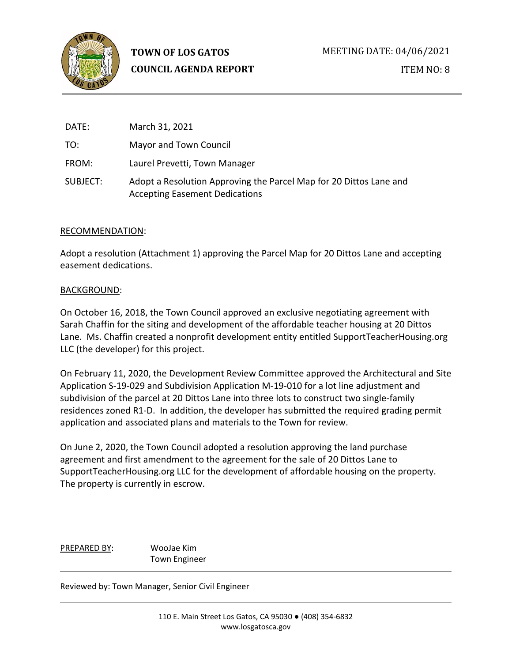

| DATE:    | March 31, 2021                                                                                              |
|----------|-------------------------------------------------------------------------------------------------------------|
| TO:      | Mayor and Town Council                                                                                      |
| FROM:    | Laurel Prevetti, Town Manager                                                                               |
| SUBJECT: | Adopt a Resolution Approving the Parcel Map for 20 Dittos Lane and<br><b>Accepting Easement Dedications</b> |

## RECOMMENDATION:

Adopt a resolution (Attachment 1) approving the Parcel Map for 20 Dittos Lane and accepting easement dedications.

## BACKGROUND:

On October 16, 2018, the Town Council approved an exclusive negotiating agreement with Sarah Chaffin for the siting and development of the affordable teacher housing at 20 Dittos Lane. Ms. Chaffin created a nonprofit development entity entitled SupportTeacherHousing.org LLC (the developer) for this project.

On February 11, 2020, the Development Review Committee approved the Architectural and Site Application S-19-029 and Subdivision Application M-19-010 for a lot line adjustment and subdivision of the parcel at 20 Dittos Lane into three lots to construct two single-family residences zoned R1-D. In addition, the developer has submitted the required grading permit application and associated plans and materials to the Town for review.

On June 2, 2020, the Town Council adopted a resolution approving the land purchase agreement and first amendment to the agreement for the sale of 20 Dittos Lane to SupportTeacherHousing.org LLC for the development of affordable housing on the property. The property is currently in escrow.

PREPARED BY: WooJae Kim Town Engineer

Reviewed by: Town Manager, Senior Civil Engineer